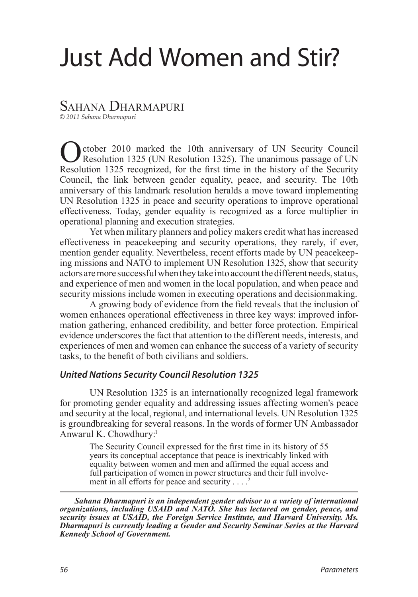# Just Add Women and Stir?

## SAHANA DHARMAPURI

*© 2011 Sahana Dharmapuri*

ctober 2010 marked the 10th anniversary of UN Security Council Resolution 1325 (UN Resolution 1325). The unanimous passage of UN Resolution 1325 recognized, for the first time in the history of the Security Council, the link between gender equality, peace, and security. The 10th anniversary of this landmark resolution heralds a move toward implementing UN Resolution 1325 in peace and security operations to improve operational effectiveness. Today, gender equality is recognized as a force multiplier in operational planning and execution strategies.

Yet when military planners and policy makers credit what has increased effectiveness in peacekeeping and security operations, they rarely, if ever, mention gender equality. Nevertheless, recent efforts made by UN peacekeeping missions and NATO to implement UN Resolution 1325, show that security actors are more successful when they take into account the different needs, status, and experience of men and women in the local population, and when peace and security missions include women in executing operations and decisionmaking.

A growing body of evidence from the field reveals that the inclusion of women enhances operational effectiveness in three key ways: improved information gathering, enhanced credibility, and better force protection. Empirical evidence underscores the fact that attention to the different needs, interests, and experiences of men and women can enhance the success of a variety of security tasks, to the benefit of both civilians and soldiers.

## *United Nations Security Council Resolution 1325*

UN Resolution 1325 is an internationally recognized legal framework for promoting gender equality and addressing issues affecting women's peace and security at the local, regional, and international levels. UN Resolution 1325 is groundbreaking for several reasons. In the words of former UN Ambassador Anwarul K. Chowdhury[:1](#page-10-0)

<span id="page-0-1"></span><span id="page-0-0"></span>The Security Council expressed for the first time in its history of 55 years its conceptual acceptance that peace is inextricably linked with equality between women and men and affirmed the equal access and full participation of women in power structures and their full involvement in all efforts for peace and security . . . .

*Sahana Dharmapuri is an independent gender advisor to a variety of international organizations, including USAID and NATO. She has lectured on gender, peace, and security issues at USAID, the Foreign Service Institute, and Harvard University. Ms. Dharmapuri is currently leading a Gender and Security Seminar Series at the Harvard Kennedy School of Government.*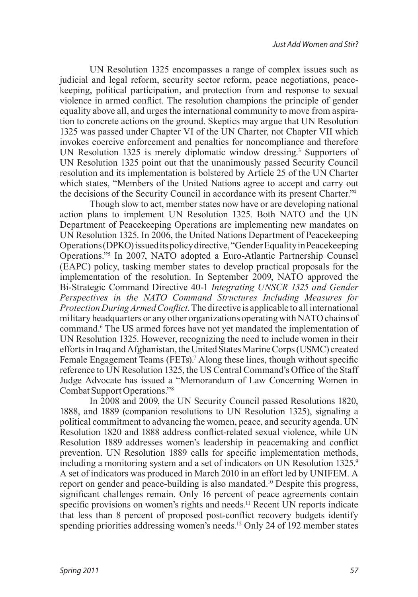UN Resolution 1325 encompasses a range of complex issues such as judicial and legal reform, security sector reform, peace negotiations, peacekeeping, political participation, and protection from and response to sexual violence in armed conflict. The resolution champions the principle of gender equality above all, and urges the international community to move from aspiration to concrete actions on the ground. Skeptics may argue that UN Resolution 1325 was passed under Chapter VI of the UN Charter, not Chapter VII which invokes coercive enforcement and penalties for noncompliance and therefore UN Resolution 1325 is merely diplomatic window dressing.[3](#page-10-2) Supporters of UN Resolution 1325 point out that the unanimously passed Security Council resolution and its implementation is bolstered by Article 25 of the UN Charter which states, "Members of the United Nations agree to accept and carry out the decisions of the Security Council in accordance with its present Charter.["4](#page-10-3)

<span id="page-1-2"></span><span id="page-1-1"></span><span id="page-1-0"></span>Though slow to act, member states now have or are developing national action plans to implement UN Resolution 1325. Both NATO and the UN Department of Peacekeeping Operations are implementing new mandates on UN Resolution 1325. In 2006, the United Nations Department of Peacekeeping Operations (DPKO) issued its policy directive, "Gender Equality in Peacekeeping Operations.["5](#page-10-4) In 2007, NATO adopted a Euro-Atlantic Partnership Counsel (EAPC) policy, tasking member states to develop practical proposals for the implementation of the resolution. In September 2009, NATO approved the Bi-Strategic Command Directive 40-1 *Integrating UNSCR 1325 and Gender Perspectives in the NATO Command Structures Including Measures for Protection During Armed Conflict*. The directive is applicable to all international military headquarters or any other organizations operating with NATO chains of command.<sup>6</sup> The US armed forces have not yet mandated the implementation of UN Resolution 1325. However, recognizing the need to include women in their efforts in Iraq and Afghanistan, the United States Marine Corps (USMC) created Female Engagement Teams (FETs).<sup>7</sup> Along these lines, though without specific reference to UN Resolution 1325, the US Central Command's Office of the Staff Judge Advocate has issued a "Memorandum of Law Concerning Women in Combat Support Operations.["8](#page-10-7)

<span id="page-1-9"></span><span id="page-1-8"></span><span id="page-1-7"></span><span id="page-1-6"></span><span id="page-1-5"></span><span id="page-1-4"></span><span id="page-1-3"></span>In 2008 and 2009, the UN Security Council passed Resolutions 1820, 1888, and 1889 (companion resolutions to UN Resolution 1325), signaling a political commitment to advancing the women, peace, and security agenda. UN Resolution 1820 and 1888 address conflict-related sexual violence, while UN Resolution 1889 addresses women's leadership in peacemaking and conflict prevention. UN Resolution 1889 calls for specific implementation methods, including a monitoring system and a set of indicators on UN Resolution 1325.<sup>[9](#page-11-0)</sup> A set of indicators was produced in March 2010 in an effort led by UNIFEM. A report on gender and peace-building is also mandated.<sup>10</sup> Despite this progress, significant challenges remain. Only 16 percent of peace agreements contain specific provisions on women's rights and needs.<sup>[11](#page-11-2)</sup> Recent UN reports indicate that less than 8 percent of proposed post-conflict recovery budgets identify spending priorities addressing women's needs.<sup>12</sup> Only 24 of 192 member states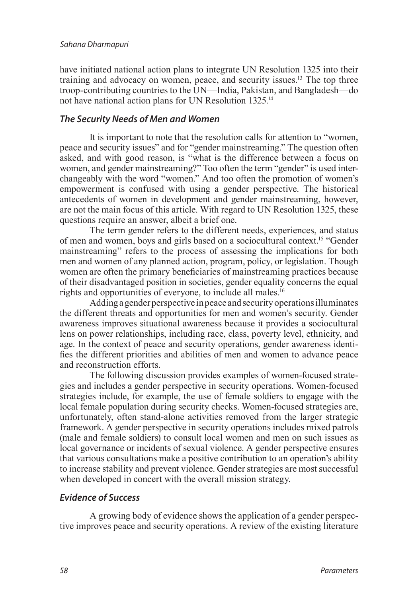<span id="page-2-0"></span>have initiated national action plans to integrate UN Resolution 1325 into their training and advocacy on women, peace, and security issues.<sup>13</sup> The top three troop-contributing countries to the UN—India, Pakistan, and Bangladesh—do not have national action plans for UN Resolution 1325[.14](#page-11-5)

#### <span id="page-2-1"></span>*The Security Needs of Men and Women*

It is important to note that the resolution calls for attention to "women, peace and security issues" and for "gender mainstreaming." The question often asked, and with good reason, is "what is the difference between a focus on women, and gender mainstreaming?" Too often the term "gender" is used interchangeably with the word "women." And too often the promotion of women's empowerment is confused with using a gender perspective. The historical antecedents of women in development and gender mainstreaming, however, are not the main focus of this article. With regard to UN Resolution 1325, these questions require an answer, albeit a brief one.

<span id="page-2-2"></span>The term gender refers to the different needs, experiences, and status of men and women, boys and girls based on a sociocultural context[.15](#page-11-6) "Gender mainstreaming" refers to the process of assessing the implications for both men and women of any planned action, program, policy, or legislation. Though women are often the primary beneficiaries of mainstreaming practices because of their disadvantaged position in societies, gender equality concerns the equal rights and opportunities of everyone, to include all males.<sup>16</sup>

<span id="page-2-3"></span>Adding a gender perspective in peace and security operations illuminates the different threats and opportunities for men and women's security. Gender awareness improves situational awareness because it provides a sociocultural lens on power relationships, including race, class, poverty level, ethnicity, and age. In the context of peace and security operations, gender awareness identifies the different priorities and abilities of men and women to advance peace and reconstruction efforts.

The following discussion provides examples of women-focused strategies and includes a gender perspective in security operations. Women-focused strategies include, for example, the use of female soldiers to engage with the local female population during security checks. Women-focused strategies are, unfortunately, often stand-alone activities removed from the larger strategic framework. A gender perspective in security operations includes mixed patrols (male and female soldiers) to consult local women and men on such issues as local governance or incidents of sexual violence. A gender perspective ensures that various consultations make a positive contribution to an operation's ability to increase stability and prevent violence. Gender strategies are most successful when developed in concert with the overall mission strategy.

#### *Evidence of Success*

A growing body of evidence shows the application of a gender perspective improves peace and security operations. A review of the existing literature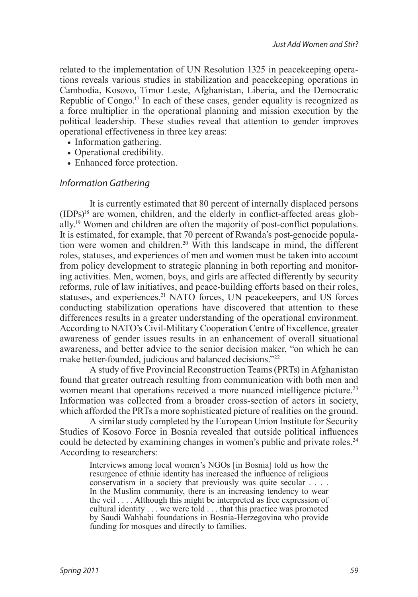<span id="page-3-0"></span>related to the implementation of UN Resolution 1325 in peacekeeping operations reveals various studies in stabilization and peacekeeping operations in Cambodia, Kosovo, Timor Leste, Afghanistan, Liberia, and the Democratic Republic of Congo.<sup>17</sup> In each of these cases, gender equality is recognized as a force multiplier in the operational planning and mission execution by the political leadership. These studies reveal that attention to gender improves operational effectiveness in three key areas:

- Information gathering.
- **•** Operational credibility.
- **•** Enhanced force protection.

#### *Information Gathering*

<span id="page-3-3"></span><span id="page-3-2"></span><span id="page-3-1"></span>It is currently estimated that 80 percent of internally displaced persons  $(IDPs)<sup>18</sup>$  are women, children, and the elderly in conflict-affected areas globally[.19](#page-11-10) Women and children are often the majority of post-conflict populations. It is estimated, for example, that 70 percent of Rwanda's post-genocide population were women and children.<sup>20</sup> With this landscape in mind, the different roles, statuses, and experiences of men and women must be taken into account from policy development to strategic planning in both reporting and monitoring activities. Men, women, boys, and girls are affected differently by security reforms, rule of law initiatives, and peace-building efforts based on their roles, statuses, and experiences.<sup>[21](#page-11-12)</sup> NATO forces, UN peacekeepers, and US forces conducting stabilization operations have discovered that attention to these differences results in a greater understanding of the operational environment. According to NATO's Civil-Military Cooperation Centre of Excellence, greater awareness of gender issues results in an enhancement of overall situational awareness, and better advice to the senior decision maker, "on which he can make better-founded, judicious and balanced decisions."<sup>[22](#page-11-13)</sup>

<span id="page-3-6"></span><span id="page-3-5"></span><span id="page-3-4"></span>A study of five Provincial Reconstruction Teams (PRTs) in Afghanistan found that greater outreach resulting from communication with both men and women meant that operations received a more nuanced intelligence picture.<sup>23</sup> Information was collected from a broader cross-section of actors in society, which afforded the PRTs a more sophisticated picture of realities on the ground.

<span id="page-3-7"></span>A similar study completed by the European Union Institute for Security Studies of Kosovo Force in Bosnia revealed that outside political influences could be detected by examining changes in women's public and private roles.<sup>24</sup> According to researchers:

Interviews among local women's NGOs [in Bosnia] told us how the resurgence of ethnic identity has increased the influence of religious conservatism in a society that previously was quite secular . . . . In the Muslim community, there is an increasing tendency to wear the veil . . . . Although this might be interpreted as free expression of cultural identity . . . we were told . . . that this practice was promoted by Saudi Wahhabi foundations in Bosnia-Herzegovina who provide funding for mosques and directly to families.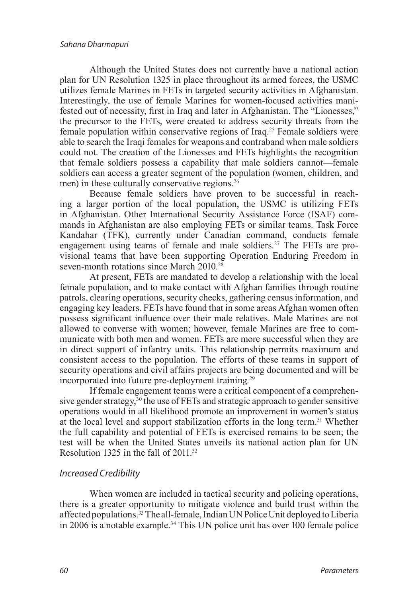<span id="page-4-0"></span>Although the United States does not currently have a national action plan for UN Resolution 1325 in place throughout its armed forces, the USMC utilizes female Marines in FETs in targeted security activities in Afghanistan. Interestingly, the use of female Marines for women-focused activities manifested out of necessity, first in Iraq and later in Afghanistan. The "Lionesses," the precursor to the FETs, were created to address security threats from the female population within conservative regions of Iraq[.25](#page-12-1) Female soldiers were able to search the Iraqi females for weapons and contraband when male soldiers could not. The creation of the Lionesses and FETs highlights the recognition that female soldiers possess a capability that male soldiers cannot—female soldiers can access a greater segment of the population (women, children, and men) in these culturally conservative regions.<sup>[26](#page-12-2)</sup>

<span id="page-4-1"></span>Because female soldiers have proven to be successful in reaching a larger portion of the local population, the USMC is utilizing FETs in Afghanistan. Other International Security Assistance Force (ISAF) commands in Afghanistan are also employing FETs or similar teams. Task Force Kandahar (TFK), currently under Canadian command, conducts female engagement using teams of female and male soldiers.<sup>27</sup> The FETs are provisional teams that have been supporting Operation Enduring Freedom in seven-month rotations since March 2010.<sup>[28](#page-12-4)</sup>

<span id="page-4-3"></span><span id="page-4-2"></span>At present, FETs are mandated to develop a relationship with the local female population, and to make contact with Afghan families through routine patrols, clearing operations, security checks, gathering census information, and engaging key leaders. FETs have found that in some areas Afghan women often possess significant influence over their male relatives. Male Marines are not allowed to converse with women; however, female Marines are free to communicate with both men and women. FETs are more successful when they are in direct support of infantry units. This relationship permits maximum and consistent access to the population. The efforts of these teams in support of security operations and civil affairs projects are being documented and will be incorporated into future pre-deployment training*.* [29](#page-12-5)

<span id="page-4-6"></span><span id="page-4-5"></span><span id="page-4-4"></span>If female engagement teams were a critical component of a comprehensive gender strategy,<sup>30</sup> the use of FETs and strategic approach to gender sensitive operations would in all likelihood promote an improvement in women's status at the local level and support stabilization efforts in the long term.<sup>31</sup> Whether the full capability and potential of FETs is exercised remains to be seen; the test will be when the United States unveils its national action plan for UN Resolution 1[32](#page-12-8)5 in the fall of 2011.<sup>32</sup>

## <span id="page-4-7"></span>*Increased Credibility*

<span id="page-4-9"></span><span id="page-4-8"></span>When women are included in tactical security and policing operations, there is a greater opportunity to mitigate violence and build trust within the affected populations.[33](#page-12-9) The all-female, Indian UN Police Unit deployed to Liberia in 2006 is a notable example.[34](#page-12-10) This UN police unit has over 100 female police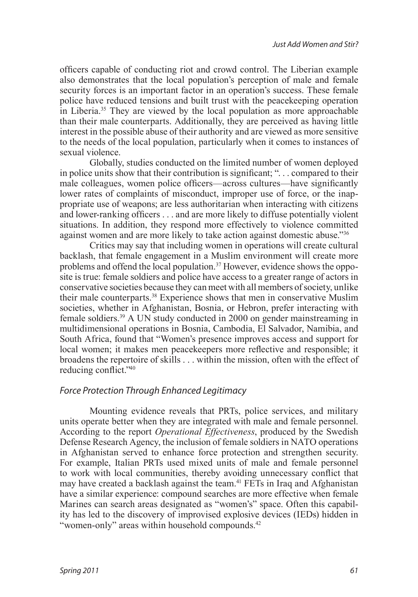<span id="page-5-0"></span>officers capable of conducting riot and crowd control. The Liberian example also demonstrates that the local population's perception of male and female security forces is an important factor in an operation's success. These female police have reduced tensions and built trust with the peacekeeping operation in Liberia.[35](#page-12-11) They are viewed by the local population as more approachable than their male counterparts. Additionally, they are perceived as having little interest in the possible abuse of their authority and are viewed as more sensitive to the needs of the local population, particularly when it comes to instances of sexual violence.

Globally, studies conducted on the limited number of women deployed in police units show that their contribution is significant; ". . . compared to their male colleagues, women police officers—across cultures—have significantly lower rates of complaints of misconduct, improper use of force, or the inappropriate use of weapons; are less authoritarian when interacting with citizens and lower-ranking officers . . . and are more likely to diffuse potentially violent situations. In addition, they respond more effectively to violence committed against women and are more likely to take action against domestic abuse.["36](#page-12-12)

<span id="page-5-4"></span><span id="page-5-3"></span><span id="page-5-2"></span><span id="page-5-1"></span>Critics may say that including women in operations will create cultural backlash, that female engagement in a Muslim environment will create more problems and offend the local population.<sup>37</sup> However, evidence shows the opposite is true: female soldiers and police have access to a greater range of actors in conservative societies because they can meet with all members of society, unlike their male counterparts.[38](#page-12-14) Experience shows that men in conservative Muslim societies, whether in Afghanistan, Bosnia, or Hebron, prefer interacting with female soldiers[.39](#page-12-15) A UN study conducted in 2000 on gender mainstreaming in multidimensional operations in Bosnia, Cambodia, El Salvador, Namibia, and South Africa, found that "Women's presence improves access and support for local women; it makes men peacekeepers more reflective and responsible; it broadens the repertoire of skills . . . within the mission, often with the effect of reducing conflict."[40](#page-12-16)

## <span id="page-5-5"></span>*Force Protection Through Enhanced Legitimacy*

<span id="page-5-7"></span><span id="page-5-6"></span>Mounting evidence reveals that PRTs, police services, and military units operate better when they are integrated with male and female personnel. According to the report *Operational Effectiveness*, produced by the Swedish Defense Research Agency, the inclusion of female soldiers in NATO operations in Afghanistan served to enhance force protection and strengthen security. For example, Italian PRTs used mixed units of male and female personnel to work with local communities, thereby avoiding unnecessary conflict that may have created a backlash against the team.<sup>41</sup> FETs in Iraq and Afghanistan have a similar experience: compound searches are more effective when female Marines can search areas designated as "women's" space. Often this capability has led to the discovery of improvised explosive devices (IEDs) hidden in "women-only" areas within household compounds.<sup>42</sup>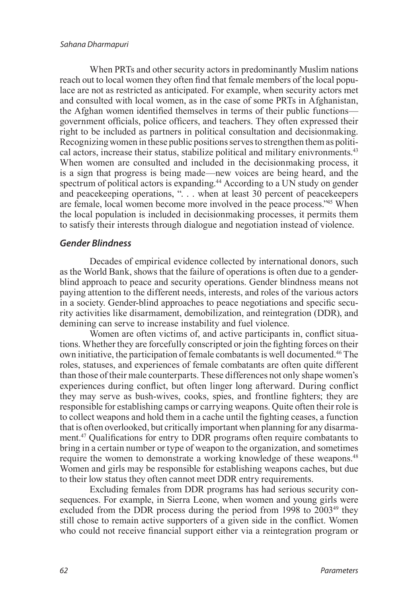<span id="page-6-0"></span>When PRTs and other security actors in predominantly Muslim nations reach out to local women they often find that female members of the local populace are not as restricted as anticipated. For example, when security actors met and consulted with local women, as in the case of some PRTs in Afghanistan, the Afghan women identified themselves in terms of their public functions government officials, police officers, and teachers. They often expressed their right to be included as partners in political consultation and decisionmaking. Recognizing women in these public positions serves to strengthen them as political actors, increase their status, stabilize political and military enivronments.<sup>43</sup> When women are consulted and included in the decisionmaking process, it is a sign that progress is being made—new voices are being heard, and the spectrum of political actors is expanding.<sup>44</sup> According to a UN study on gender and peacekeeping operations, "... when at least 30 percent of peacekeepers are female, local women become more involved in the peace process.["45](#page-13-1) When the local population is included in decisionmaking processes, it permits them to satisfy their interests through dialogue and negotiation instead of violence.

## <span id="page-6-2"></span><span id="page-6-1"></span>*Gender Blindness*

Decades of empirical evidence collected by international donors, such as the World Bank, shows that the failure of operations is often due to a genderblind approach to peace and security operations. Gender blindness means not paying attention to the different needs, interests, and roles of the various actors in a society. Gender-blind approaches to peace negotiations and specific security activities like disarmament, demobilization, and reintegration (DDR), and demining can serve to increase instability and fuel violence.

<span id="page-6-3"></span>Women are often victims of, and active participants in, conflict situations. Whether they are forcefully conscripted or join the fighting forces on their own initiative, the participation of female combatants is well documented[.46](#page-13-2) The roles, statuses, and experiences of female combatants are often quite different than those of their male counterparts. These differences not only shape women's experiences during conflict, but often linger long afterward. During conflict they may serve as bush-wives, cooks, spies, and frontline fighters; they are responsible for establishing camps or carrying weapons. Quite often their role is to collect weapons and hold them in a cache until the fighting ceases, a function that is often overlooked, but critically important when planning for any disarmament.[47](#page-13-3) Qualifications for entry to DDR programs often require combatants to bring in a certain number or type of weapon to the organization, and sometimes require the women to demonstrate a working knowledge of these weapons.<sup>48</sup> Women and girls may be responsible for establishing weapons caches, but due to their low status they often cannot meet DDR entry requirements.

<span id="page-6-6"></span><span id="page-6-5"></span><span id="page-6-4"></span>Excluding females from DDR programs has had serious security consequences. For example, in Sierra Leone, when women and young girls were excluded from the DDR process during the period from 1998 to 2003<sup>[49](#page-13-5)</sup> they still chose to remain active supporters of a given side in the conflict. Women who could not receive financial support either via a reintegration program or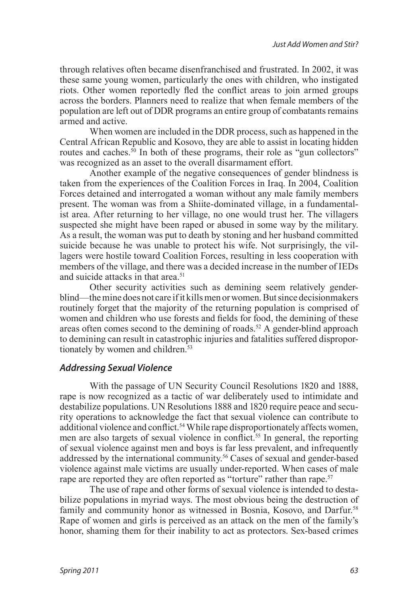through relatives often became disenfranchised and frustrated. In 2002, it was these same young women, particularly the ones with children, who instigated riots. Other women reportedly fled the conflict areas to join armed groups across the borders. Planners need to realize that when female members of the population are left out of DDR programs an entire group of combatants remains armed and active.

<span id="page-7-0"></span>When women are included in the DDR process, such as happened in the Central African Republic and Kosovo, they are able to assist in locating hidden routes and caches.<sup>50</sup> In both of these programs, their role as "gun collectors" was recognized as an asset to the overall disarmament effort.

Another example of the negative consequences of gender blindness is taken from the experiences of the Coalition Forces in Iraq. In 2004, Coalition Forces detained and interrogated a woman without any male family members present. The woman was from a Shiite-dominated village, in a fundamentalist area. After returning to her village, no one would trust her. The villagers suspected she might have been raped or abused in some way by the military. As a result, the woman was put to death by stoning and her husband committed suicide because he was unable to protect his wife. Not surprisingly, the villagers were hostile toward Coalition Forces, resulting in less cooperation with members of the village, and there was a decided increase in the number of IEDs and suicide attacks in that area.<sup>[51](#page-13-7)</sup>

<span id="page-7-2"></span><span id="page-7-1"></span>Other security activities such as demining seem relatively genderblind—the mine does not care if it kills men or women. But since decisionmakers routinely forget that the majority of the returning population is comprised of women and children who use forests and fields for food, the demining of these areas often comes second to the demining of roads.<sup>52</sup> A gender-blind approach to demining can result in catastrophic injuries and fatalities suffered dispropor-tionately by women and children.<sup>[53](#page-13-9)</sup>

## <span id="page-7-3"></span>*Addressing Sexual Violence*

<span id="page-7-5"></span><span id="page-7-4"></span>With the passage of UN Security Council Resolutions 1820 and 1888, rape is now recognized as a tactic of war deliberately used to intimidate and destabilize populations. UN Resolutions 1888 and 1820 require peace and security operations to acknowledge the fact that sexual violence can contribute to additional violence and conflict.<sup>54</sup> While rape disproportionately affects women, men are also targets of sexual violence in conflict.<sup>[55](#page-13-11)</sup> In general, the reporting of sexual violence against men and boys is far less prevalent, and infrequently addressed by the international community.<sup>56</sup> Cases of sexual and gender-based violence against male victims are usually under-reported. When cases of male rape are reported they are often reported as "torture" rather than rape.<sup>[57](#page-13-13)</sup>

<span id="page-7-8"></span><span id="page-7-7"></span><span id="page-7-6"></span>The use of rape and other forms of sexual violence is intended to destabilize populations in myriad ways. The most obvious being the destruction of family and community honor as witnessed in Bosnia, Kosovo, and Darfur.<sup>58</sup> Rape of women and girls is perceived as an attack on the men of the family's honor, shaming them for their inability to act as protectors. Sex-based crimes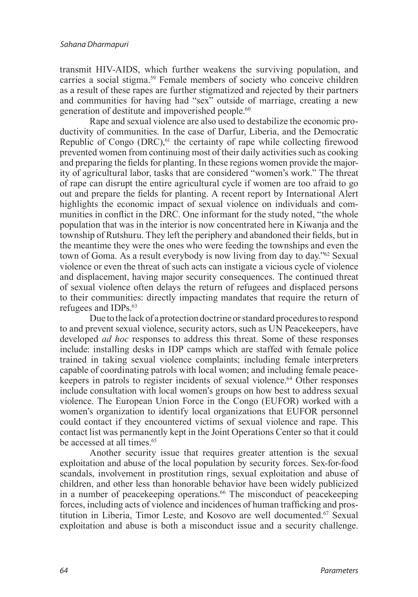<span id="page-8-0"></span>transmit HIV-AIDS, which further weakens the surviving population, and carries a social stigma.<sup>59</sup> Female members of society who conceive children as a result of these rapes are further stigmatized and rejected by their partners and communities for having had "sex" outside of marriage, creating a new generation of destitute and impoverished people.<sup>60</sup>

<span id="page-8-2"></span><span id="page-8-1"></span>Rape and sexual violence are also used to destabilize the economic productivity of communities. In the case of Darfur, Liberia, and the Democratic Republic of Congo  $(DRC)$ , <sup>61</sup> the certainty of rape while collecting firewood prevented women from continuing most of their daily activities such as cooking and preparing the fields for planting. In these regions women provide the majority of agricultural labor, tasks that are considered "women's work." The threat of rape can disrupt the entire agricultural cycle if women are too afraid to go out and prepare the fields for planting. A recent report by International Alert highlights the economic impact of sexual violence on individuals and communities in conflict in the DRC. One informant for the study noted, "the whole population that was in the interior is now concentrated here in Kiwanja and the township of Rutshuru. They left the periphery and abandoned their fields, but in the meantime they were the ones who were feeding the townships and even the town of Goma. As a result everybody is now living from day to day.["62](#page-14-0) Sexual violence or even the threat of such acts can instigate a vicious cycle of violence and displacement, having major security consequences. The continued threat of sexual violence often delays the return of refugees and displaced persons to their communities: directly impacting mandates that require the return of refugees and IDPs[.63](#page-14-1)

<span id="page-8-5"></span><span id="page-8-4"></span><span id="page-8-3"></span>Due to the lack of a protection doctrine or standard procedures to respond to and prevent sexual violence, security actors, such as UN Peacekeepers, have developed *ad hoc* responses to address this threat. Some of these responses include: installing desks in IDP camps which are staffed with female police trained in taking sexual violence complaints; including female interpreters capable of coordinating patrols with local women; and including female peacekeepers in patrols to register incidents of sexual violence.<sup>64</sup> Other responses include consultation with local women's groups on how best to address sexual violence. The European Union Force in the Congo (EUFOR) worked with a women's organization to identify local organizations that EUFOR personnel could contact if they encountered victims of sexual violence and rape. This contact list was permanently kept in the Joint Operations Center so that it could be accessed at all times.<sup>65</sup>

<span id="page-8-8"></span><span id="page-8-7"></span><span id="page-8-6"></span>Another security issue that requires greater attention is the sexual exploitation and abuse of the local population by security forces. Sex-for-food scandals, involvement in prostitution rings, sexual exploitation and abuse of children, and other less than honorable behavior have been widely publicized in a number of peacekeeping operations.<sup>66</sup> The misconduct of peacekeeping forces, including acts of violence and incidences of human trafficking and pros-titution in Liberia, Timor Leste, and Kosovo are well documented.<sup>[67](#page-14-5)</sup> Sexual exploitation and abuse is both a misconduct issue and a security challenge.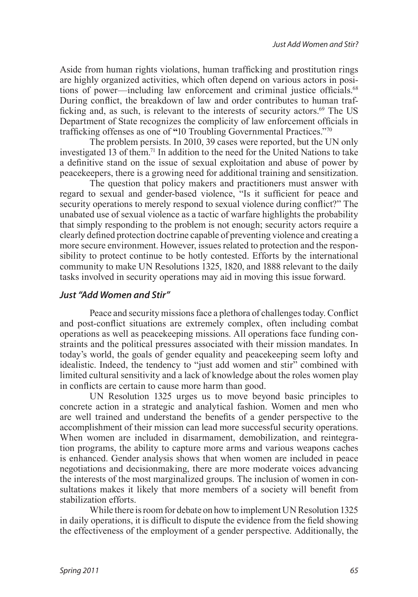<span id="page-9-0"></span>Aside from human rights violations, human trafficking and prostitution rings are highly organized activities, which often depend on various actors in posi-tions of power—including law enforcement and criminal justice officials.<sup>[68](#page-14-6)</sup> During conflict, the breakdown of law and order contributes to human trafficking and, as such, is relevant to the interests of security actors.[69](#page-14-7) The US Department of State recognizes the complicity of law enforcement officials in trafficking offenses as one of **"**10 Troubling Governmental Practices."[70](#page-14-8)

<span id="page-9-3"></span><span id="page-9-2"></span><span id="page-9-1"></span>The problem persists. In 2010, 39 cases were reported, but the UN only investigated 13 of them[.71](#page-14-9) In addition to the need for the United Nations to take a definitive stand on the issue of sexual exploitation and abuse of power by peacekeepers, there is a growing need for additional training and sensitization.

The question that policy makers and practitioners must answer with regard to sexual and gender-based violence, "Is it sufficient for peace and security operations to merely respond to sexual violence during conflict?" The unabated use of sexual violence as a tactic of warfare highlights the probability that simply responding to the problem is not enough; security actors require a clearly defined protection doctrine capable of preventing violence and creating a more secure environment. However, issues related to protection and the responsibility to protect continue to be hotly contested. Efforts by the international community to make UN Resolutions 1325, 1820, and 1888 relevant to the daily tasks involved in security operations may aid in moving this issue forward.

## *Just "Add Women and Stir"*

Peace and security missions face a plethora of challenges today. Conflict and post-conflict situations are extremely complex, often including combat operations as well as peacekeeping missions. All operations face funding constraints and the political pressures associated with their mission mandates. In today's world, the goals of gender equality and peacekeeping seem lofty and idealistic. Indeed, the tendency to "just add women and stir" combined with limited cultural sensitivity and a lack of knowledge about the roles women play in conflicts are certain to cause more harm than good.

UN Resolution 1325 urges us to move beyond basic principles to concrete action in a strategic and analytical fashion. Women and men who are well trained and understand the benefits of a gender perspective to the accomplishment of their mission can lead more successful security operations. When women are included in disarmament, demobilization, and reintegration programs, the ability to capture more arms and various weapons caches is enhanced. Gender analysis shows that when women are included in peace negotiations and decisionmaking, there are more moderate voices advancing the interests of the most marginalized groups. The inclusion of women in consultations makes it likely that more members of a society will benefit from stabilization efforts.

While there is room for debate on how to implement UN Resolution 1325 in daily operations, it is difficult to dispute the evidence from the field showing the effectiveness of the employment of a gender perspective. Additionally, the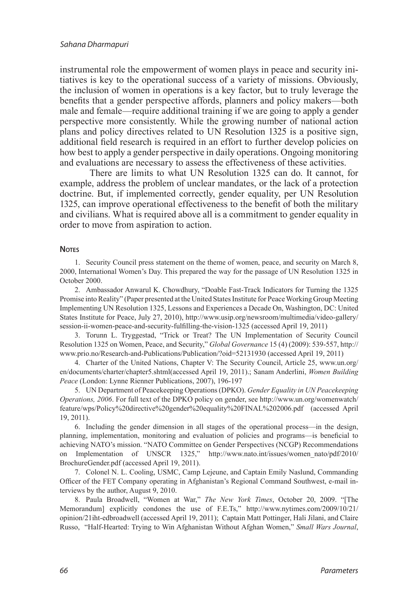instrumental role the empowerment of women plays in peace and security initiatives is key to the operational success of a variety of missions. Obviously, the inclusion of women in operations is a key factor, but to truly leverage the benefits that a gender perspective affords, planners and policy makers—both male and female—require additional training if we are going to apply a gender perspective more consistently. While the growing number of national action plans and policy directives related to UN Resolution 1325 is a positive sign, additional field research is required in an effort to further develop policies on how best to apply a gender perspective in daily operations. Ongoing monitoring and evaluations are necessary to assess the effectiveness of these activities.

There are limits to what UN Resolution 1325 can do. It cannot, for example, address the problem of unclear mandates, or the lack of a protection doctrine. But, if implemented correctly, gender equality, per UN Resolution 1325, can improve operational effectiveness to the benefit of both the military and civilians. What is required above all is a commitment to gender equality in order to move from aspiration to action.

#### **Notes**

<span id="page-10-0"></span>1. [Security Council press statement on the theme of women, peace, and security on March 8,](#page-0-0)  [2000, International Women's Day. This prepared the way for the passage of UN Resolution 1325 in](#page-0-0)  [October 2000.](#page-0-0)

<span id="page-10-1"></span>2. [Ambassador Anwarul K. Chowdhury, "Doable Fast-Track Indicators for Turning the 1325](#page-0-1)  [Promise into Reality" \(Paper presented at the United States Institute for Peace Working Group Meeting](#page-0-1)  [Implementing UN Resolution 1325, Lessons and Experiences a Decade On, Washington, DC: United](#page-0-1)  [States Institute for Peace, July 27, 2010\), http://www.usip.org/newsroom/multimedia/video-gallery/](#page-0-1) [session-ii-women-peace-and-security-fulfilling-the-vision-1325 \(accessed April 19, 2011\)](#page-0-1)

<span id="page-10-2"></span>3. [Torunn L. Tryggestad, "Trick or Treat? The UN Implementation of Security Council](#page-1-0) [Resolution 1325 on Women, Peace, and Security,"](#page-1-0) *Global Governance* 15 (4) (2009): 539-557, http:// [www.prio.no/Research-and-Publications/Publication/?oid=52131930 \(accessed April 19, 2011\)](#page-1-0) 

<span id="page-10-3"></span>4. [Charter of the United Nations, Chapter V: The Security Council, Article 25, www.un.org/](#page-1-1) [en/documents/charter/chapter5.shtml\(accessed April 19, 2011\).; Sanam Anderlini,](#page-1-1) *Women Building Peace* [\(London: Lynne Rienner Publications, 2007\), 196-197](#page-1-1) 

<span id="page-10-4"></span>5. [UN Department of Peacekeeping Operations \(DPKO\).](#page-1-2) *Gender Equality in UN Peacekeeping Operations, 2006*[. For full text of the DPKO policy on gender, see http://www.un.org/womenwatch/](#page-1-2) [feature/wps/Policy%20directive%20gender%20equality%20FINAL%202006.pdf \(accessed April](#page-1-2) [19, 2011\).](#page-1-2)

<span id="page-10-5"></span>6. [Including the gender dimension in all stages of the operational process—in the design,](#page-1-3)  [planning, implementation, monitoring and evaluation of policies and programs—is beneficial to](#page-1-3)  [achieving NATO's mission. "NATO Committee on Gender Perspectives \(NCGP\) Recommendations](#page-1-3)  [on Implementation of UNSCR 1325," http://www.nato.int/issues/women\\_nato/pdf/2010/](#page-1-3) [BrochureGender.pdf \(accessed April 19, 2011\).](#page-1-3)

<span id="page-10-6"></span>7. [Colonel N. L. Cooling, USMC, Camp Lejeune, and Captain Emily Naslund, Commanding](#page-1-4) [Officer of the FET Company operating in Afghanistan's Regional Command Southwest, e-mail in](#page-1-4)[terviews by the author, August 9, 2010.](#page-1-4) 

<span id="page-10-7"></span>8. [Paula Broadwell, "Women at War,"](#page-1-5) *The New York Times*, October 20, 2009. "[The [Memorandum\] explicitly condones the use of F.E.Ts," http://www.nytimes.com/2009/10/21/](#page-1-5) [opinion/21iht-edbroadwell \(accessed April 19, 2011\); Captain Matt Pottinger, Hali Jilani, and Claire](#page-1-5) [Russo, "Half-Hearted: Trying to Win Afghanistan Without Afghan Women,"](#page-1-5) *Small Wars Journal*,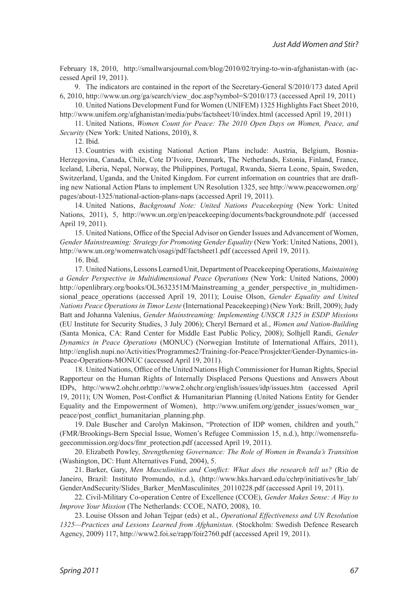[February 18, 2010, http://smallwarsjournal.com/blog/2010/02/trying-to-win-afghanistan-with \(ac](#page-1-5)[cessed April 19, 2011\).](#page-1-5) 

<span id="page-11-0"></span>9. [The indicators are contained in the report of the Secretary-General S/2010/173 dated April](#page-1-6) [6, 2010, http://www.un.org/ga/search/view\\_doc.asp?symbol=S/2010/173 \(accessed April 19, 2011\)](#page-1-6) 

<span id="page-11-1"></span>10. [United Nations Development Fund for Women \(UNIFEM\) 1325 Highlights Fact Sheet 2010,](#page-1-7)  [http://www.unifem.org/afghanistan/media/pubs/factsheet/10/index.html \(accessed April 19, 2011\)](#page-1-7)

11. United Nations, *[Women Count for Peace: The 2010 Open Days on Women, Peace, and](#page-1-8) Security* [\(New York: United Nations, 2010\), 8.](#page-1-8)

<span id="page-11-4"></span><span id="page-11-3"></span><span id="page-11-2"></span>12. [Ibid.](#page-1-9)

13. [Countries with existing National Action Plans include: Austria, Belgium, Bosnia-](#page-2-0)[Herzegovina, Canada, Chile, Cote D'Ivoire, Denmark, The Netherlands, Estonia, Finland, France,](#page-2-0) [Iceland, Liberia, Nepal, Norway, the Philippines, Portugal, Rwanda, Sierra Leone, Spain, Sweden,](#page-2-0) [Switzerland, Uganda, and the United Kingdom. For current information on countries that are draft](#page-2-0)[ing new National Action Plans to implement UN Resolution 1325, see http://www.peacewomen.org/](#page-2-0) [pages/about-1325/national-action-plans-naps \(accessed April 19, 2011\).](#page-2-0)

<span id="page-11-5"></span>14. United Nations, *[Background Note: United Nations Peacekeeping](#page-2-1)* (New York: United [Nations, 2011\), 5, http://www.un.org/en/peacekeeping/documents/backgroundnote.pdf \(accessed](#page-2-1) [April 19, 2011\).](#page-2-1)

15. [United Nations, Office of the Special Advisor on Gender Issues and Advancement of Women,](#page-2-2) *[Gender Mainstreaming: Strategy for Promoting Gender Equality](#page-2-2)* (New York: United Nations, 2001), [http://www.un.org/womenwatch/osagi/pdf/factsheet1.pdf \(accessed April 19, 2011\).](#page-2-2)

<span id="page-11-8"></span><span id="page-11-7"></span><span id="page-11-6"></span>16. [Ibid.](#page-2-3)

17. [United Nations, Lessons Learned Unit, Department of Peacekeeping Operations,](#page-3-0) *Maintaining [a Gender Perspective in Multidimensional Peace Operations](#page-3-0)* (New York: United Nations, 2000) http://openlibrary.org/books/OL3632351M/Mainstreaming a gender perspective in multidimensional peace operations (accessed April 19, 2011); Louise Olson, *Gender Equality and United Nations Peace Operations in Timor Leste* [\(International Peacekeeping\) \(New York: Brill, 2009\); Judy](#page-3-0)  Batt and Johanna Valenius, *[Gender Mainstreaming: Implementing UNSCR 1325 in ESDP Missions](#page-3-0)* [\(EU Institute for Security Studies, 3 July 2006\); Cheryl Bernard et al.,](#page-3-0) *Women and Nation-Building* [\(Santa Monica, CA: Rand Center for Middle East Public Policy, 2008\); Solhjell Randi,](#page-3-0) *Gender Dynamics in Peace Operations* [\(MONUC\) \(Norwegian Institute of International Affairs, 2011\),](#page-3-0)  [http://english.nupi.no/Activities/Programmes2/Training-for-Peace/Prosjekter/Gender-Dynamics-in-](#page-3-0)[Peace-Operations-MONUC \(accessed April 19, 2011\).](#page-3-0)

<span id="page-11-9"></span>18. [United Nations, Office of the United Nations High Commissioner for Human Rights, Special](#page-3-1) [Rapporteur on the Human Rights of Internally Displaced Persons Questions and Answers About](#page-3-1) [IDPs, http://www2.ohchr.orhttp://www2.ohchr.org/english/issues/idp/issues.htm \(accessed April](#page-3-1) [19, 2011\); UN Women, Post-Conflict & Humanitarian Planning \(United Nations Entity for Gender](#page-3-1) Equality and the Empowerment of Women), http://www.unifem.org/gender\_issues/women\_war [peace/post\\_conflict\\_humanitarian\\_planning.php.](#page-3-1)

<span id="page-11-10"></span>19. [Dale Buscher and Carolyn Makinson, "Protection of IDP women, children and youth,"](#page-3-2) [\(FMR/Brookings-Bern Special Issue, Women's Refugee Commission 15, n.d.\), http://womensrefu](#page-3-2)[geecommission.org/docs/fmr\\_protection.pdf \(accessed April 19, 2011\).](#page-3-2)

<span id="page-11-11"></span>20. Elizabeth Powley, *[Strengthening Governance: The Role of Women in Rwanda's Transition](#page-3-3)* [\(Washington, DC: Hunt Alternatives Fund, 2004\), 5.](#page-3-3)

<span id="page-11-12"></span>21. Barker, Gary, *[Men Masculinities and Conflict: What does the research tell us?](#page-3-4)* (Rio de [Janeiro, Brazil: Instituto Promundo, n.d.\), \(http://www.hks.harvard.edu/cchrp/initiatives/hr\\_lab/](#page-3-4) [GenderAndSecurity/Slides\\_Barker\\_MenMasculinites\\_20110228.pdf \(accessed April 19, 2011\).](#page-3-4)

<span id="page-11-13"></span>22. [Civil-Military Co-operation Centre of Excellence \(CCOE\),](#page-3-5) *Gender Makes Sense: A Way to Improve Your Mission* [\(The Netherlands: CCOE, NATO, 2008\), 10.](#page-3-5)

<span id="page-11-14"></span>23. Louise Olsson and Johan Tejpar (eds) et al., *[Operational Effectiveness and UN Resolution](#page-3-6) [1325—Practices and Lessons Learned from Afghanistan](#page-3-6)*. (Stockholm: Swedish Defence Research [Agency, 2009\) 117, http://www2.foi.se/rapp/foir2760.pdf \(accessed April 19, 2011\).](#page-3-6)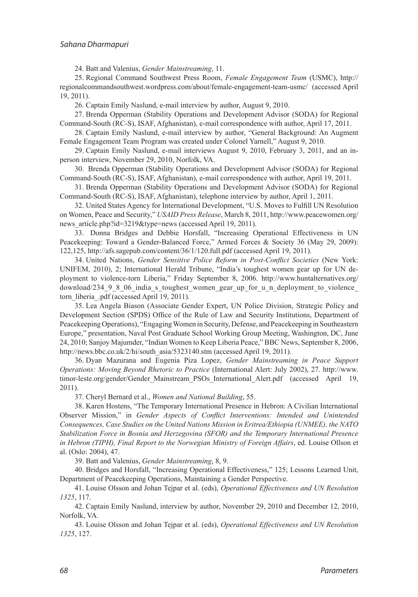<span id="page-12-1"></span><span id="page-12-0"></span>24. Batt and Valenius, *[Gender Mainstreaming](#page-3-7)*, 11.

25. [Regional Command Southwest Press Room,](#page-4-0) *Female Engagement Team* (USMC), http:// [regionalcommandsouthwest.wordpress.com/about/female-engagement-team-usmc/ \(accessed April](#page-4-0) [19, 2011\).](#page-4-0)

<span id="page-12-4"></span><span id="page-12-3"></span><span id="page-12-2"></span>26. [Captain Emily Naslund, e-mail interview by author, August 9, 2010.](#page-4-1) 

27. [Brenda Opperman \(Stability Operations and Development Advisor \(SODA\) for Regional](#page-4-2) [Command-South \(RC-S\), ISAF, Afghanistan\), e-mail correspondence with author, April 17, 2011.](#page-4-2)

28. [Captain Emily Naslund, e-mail interview by author, "General Background: An Augment](#page-4-3)  [Female Engagement Team Program was created under Colonel Yarnell," August 9, 2010.](#page-4-3)

<span id="page-12-5"></span>29. [Captain Emily Naslund, e-mail interviews August 9, 2010, February 3, 2011, and an in](#page-4-4)[person interview, November 29, 2010, Norfolk, VA.](#page-4-4)

<span id="page-12-6"></span>30. [Brenda Opperman \(Stability Operations and Development Advisor \(SODA\) for Regional](#page-4-5) [Command-South \(RC-S\), ISAF, Afghanistan\), e-mail correspondence with author, April 19, 2011.](#page-4-5) 

<span id="page-12-7"></span>31. [Brenda Opperman \(Stability Operations and Development Advisor \(SODA\) for Regional](#page-4-6) [Command-South \(RC-S\), ISAF, Afghanistan\), telephone interview by author, April 1, 2011.](#page-4-6)

<span id="page-12-8"></span>32. [United States Agency for International Development, "U.S. Moves to Fulfill UN Resolution](#page-4-7)  on Women, Peace and Security," *USAID Press Release*[, March 8, 2011, http://www.peacewomen.org/](#page-4-7) [news\\_article.php?id=3219&type=news \(accessed April 19, 2011\).](#page-4-7)

<span id="page-12-9"></span>33. [Donna Bridges and Debbie Horsfall, "Increasing Operational Effectiveness in UN](#page-4-8)  [Peacekeeping: Toward a Gender-Balanced Force," Armed Forces & Society 36 \(May 29, 2009\):](#page-4-8) [122,125, http://afs.sagepub.com/content/36/1/120.full.pdf \(accessed April 19, 2011\).](#page-4-8)

<span id="page-12-10"></span>34. United Nations, *[Gender Sensitive Police Reform in Post-Conflict Societies](#page-4-9)* (New York: [UNIFEM, 2010\), 2; International Herald Tribune, "India's toughest women gear up for UN de](#page-4-9)[ployment to violence-torn Liberia," Friday September 8, 2006. http://www.huntalternatives.org/](#page-4-9) download/234\_9\_8\_06\_india\_s\_toughest\_women\_gear\_up\_for\_u\_n\_deployment\_to\_violence torn liberia .pdf (accessed April 19, 2011).

<span id="page-12-11"></span>35. [Lea Angela Biason \(Associate Gender Expert, UN Police Division, Strategic Policy and](#page-5-0)  [Development Section \(SPDS\) Office of the Rule of Law and Security Institutions, Department of](#page-5-0)  [Peacekeeping Operations\), "Engaging Women in Security, Defense, and Peacekeeping in Southeastern](#page-5-0) [Europe," presentation, Naval Post Graduate School Working Group Meeting, Washington, DC, June](#page-5-0)  [24, 2010; Sanjoy Majumder, "Indian Women to Keep Liberia Peace," BBC News, September 8, 2006,](#page-5-0)  [http://news.bbc.co.uk/2/hi/south\\_asia/5323140.stm \(accessed April 19, 2011\).](#page-5-0)

<span id="page-12-12"></span>36. [Dyan Mazurana and Eugenia Piza Lopez,](#page-5-1) *Gender Mainstreaming in Peace Support [Operations: Moving Beyond Rhetoric to Practice](#page-5-1)* (International Alert: July 2002), 27. http://www. timor-leste.org/gender/Gender Mainstream PSOs International Alert.pdf (accessed April 19, [2011\).](#page-5-1)

<span id="page-12-14"></span><span id="page-12-13"></span>37. Cheryl Bernard et al., *[Women and National Building](#page-5-2)*, 55.

38. [Karen Hostens, "The Temporary International Presence in Hebron: A Civilian International](#page-5-3) Observer Mission," in *[Gender Aspects of Conflict Interventions: Intended and Unintended](#page-5-3)  [Consequences, Case Studies on the United Nations Mission in Eritrea/Ethiopia \(UNMEE\), the NATO](#page-5-3) [Stabilization Force in Bosnia and Herzegovina \(SFOR\) and the Temporary International Presence](#page-5-3) [in Hebron \(TIPH\), Final Report to the Norwegian Ministry of Foreign Affairs](#page-5-3)*, ed. Louise Ollson et [al. \(](#page-5-3)Oslo: 2004), 47.

<span id="page-12-17"></span><span id="page-12-16"></span><span id="page-12-15"></span>39. Batt and Valenius, *[Gender Mainstreaming](#page-5-4)*, 8, 9.

40. [Bridges and Horsfall, "Increasing Operational Effectiveness," 125; Lessons Learned Unit,](#page-5-5) [Department of Peacekeeping Operations, Maintaining a Gender Perspective.](#page-5-5) 

41. Louise Olsson and Johan Tejpar et al. (eds), *[Operational Effectiveness and UN Resolution](#page-5-6) 1325*[, 117.](#page-5-6) 

<span id="page-12-18"></span>42. [Captain Emily Naslund, interview by author, November 29, 2010 and December 12, 2010,](#page-5-7) [Norfolk, VA.](#page-5-7)

<span id="page-12-19"></span>43. Louise Olsson and Johan Tejpar et al. (eds), *[Operational Effectiveness and UN Resolution](#page-6-0) 1325*[, 127.](#page-6-0)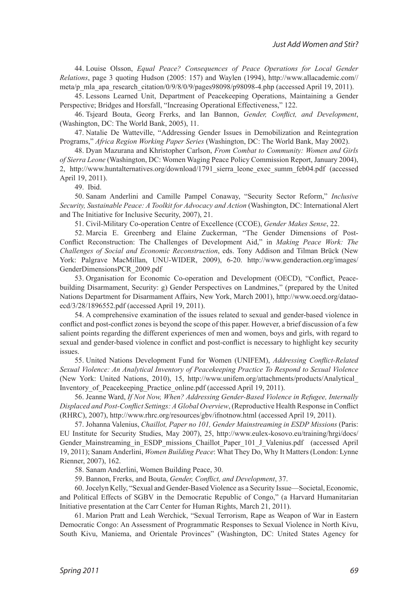<span id="page-13-0"></span>44. Louise Olsson, *[Equal Peace? Consequences of Peace Operations for Local Gender](#page-6-1)  Relations*[, page 3 quoting Hudson \(2005: 157\) and Waylen \(1994\), http://www.allacademic.com//](#page-6-1) [meta/p\\_mla\\_apa\\_research\\_citation/0/9/8/0/9/pages98098/p98098-4.php \(accessed April 19, 2011\).](#page-6-1)

<span id="page-13-1"></span>45. [Lessons Learned Unit, Department of Peacekeeping Operations, Maintaining a Gender](#page-6-2)  [Perspective; Bridges and Horsfall, "Increasing Operational Effectiveness," 122.](#page-6-2) 

<span id="page-13-2"></span>46. [Tsjeard Bouta, Georg Frerks, and Ian Bannon,](#page-6-3) *Gender, Conflict, and Development*, [\(Washington, DC: The World Bank, 2005\), 11.](#page-6-3) 

<span id="page-13-3"></span>47. [Natalie De Watteville, "Addressing Gender Issues in Demobilization and Reintegration](#page-6-4) Programs," *Africa Region Working Paper Series* [\(Washington, DC: The World Bank, May 2002\).](#page-6-4)

<span id="page-13-4"></span>48. Dyan Mazurana and Khristopher Carlson, *[From Combat to Community: Women and Girls](#page-6-5)  of Sierra Leone* [\(Washington, DC: Women Waging Peace Policy Commission Report, January 2004\),](#page-6-5) [2, http://www.huntalternatives.org/download/1791\\_sierra\\_leone\\_exec\\_summ\\_feb04.pdf \(accessed](#page-6-5) [April 19, 2011\).](#page-6-5)

<span id="page-13-6"></span><span id="page-13-5"></span>49. [Ibid.](#page-6-6)

50. [Sanam Anderlini and Camille Pampel Conaway, "Security Sector Reform,"](#page-7-0) *Inclusive [Security, Sustainable Peace: A Toolkit for Advocacy and Action](#page-7-0)* (Washington, DC: International Alert [and The Initiative for Inclusive Security, 2007\), 21.](#page-7-0)

<span id="page-13-8"></span><span id="page-13-7"></span>51. [Civil-Military Co-operation Centre of Excellence \(CCOE\),](#page-7-1) *Gender Makes Sense*, 22.

52. [Marcia E. Greenberg and Elaine Zuckerman, "The Gender Dimensions of Post-](#page-7-2)[Conflict Reconstruction: The Challenges of Development Aid," in](#page-7-2) *Making Peace Work: The [Challenges of Social and Economic Reconstruction](#page-7-2)*, eds. Tony Addison and Tilman Brück (New [York: Palgrave MacMillan, UNU-WIDER, 2009\), 6-20. http://www.genderaction.org/images/](#page-7-2) [GenderDimensionsPCR\\_2009.pdf](#page-7-2) 

<span id="page-13-9"></span>53. [Organisation for Economic Co-operation and Development \(OECD\), "Conflict, Peace](#page-7-3)[building Disarmament, Security: g\) Gender Perspectives on Landmines," \(prepared by the United](#page-7-3)  [Nations Department for Disarmament Affairs, New York, March 2001\), http://www.oecd.org/datao](#page-7-3)[ecd/3/28/1896552.pdf \(accessed April 19, 2011\).](#page-7-3)

<span id="page-13-10"></span>54. [A comprehensive examination of the issues related to sexual and gender-based violence in](#page-7-4) [conflict and post-conflict zones is beyond the scope of this paper. However, a brief discussion of a few](#page-7-4) [salient points regarding the different experiences of men and women, boys and girls, with regard to](#page-7-4) [sexual and gender-based violence in conflict and post-conflict is necessary to highlight key security](#page-7-4)  [issues.](#page-7-4)

<span id="page-13-11"></span>55. [United Nations Development Fund for Women \(UNIFEM\),](#page-7-5) *Addressing Conflict-Related [Sexual Violence: An Analytical Inventory of Peacekeeping Practice To Respond to Sexual Violence](#page-7-5)* [\(New York: United Nations, 2010\), 15, http://www.unifem.org/attachments/products/Analytical\\_](#page-7-5) Inventory of Peacekeeping Practice online.pdf (accessed April 19, 2011).

<span id="page-13-12"></span>56. Jeanne Ward, *[If Not Now, When? Addressing Gender-Based Violence in Refugee, Internally](#page-7-6) [Displaced and Post-Conflict Settings: A Global Overview](#page-7-6)*, (Reproductive Health Response in Conflict [\(RHRC\), 2007\), http://www.rhrc.org/resources/gbv/ifnotnow.html \(accessed April 19, 2011\).](#page-7-6)

<span id="page-13-13"></span>57. Johanna Valenius, *[Chaillot, Paper no 101, Gender Mainstreaming in ESDP Missions](#page-7-7)* (Paris: [EU Institute for Security Studies, May 2007\), 25, http://www.eulex-kosovo.eu/training/hrgi/docs/](#page-7-7) Gender Mainstreaming in ESDP missions Chaillot Paper 101 J Valenius.pdf (accessed April 19, 2011); Sanam Anderlini, *Women Building Peace*[: What They Do, Why It Matters \(London: Lynne](#page-7-7) [Rienner, 2007\), 162.](#page-7-7) 

<span id="page-13-14"></span>58. [Sanam Anderlini, Women Building Peace, 30.](#page-7-8)

<span id="page-13-17"></span><span id="page-13-16"></span><span id="page-13-15"></span>59. Bannon, Frerks, and Bouta, *[Gender, Conflict, and Development](#page-8-0)*, 37.

60. [Jocelyn Kelly, "Sexual and Gender-Based Violence as a Security Issue—Societal, Economic,](#page-8-1) [and Political Effects of SGBV in the Democratic Republic of Congo," \(a Harvard Humanitarian](#page-8-1)  [Initiative presentation at the Carr Center for Human Rights, March 21, 2011\).](#page-8-1)

61. [Marion Pratt and Leah Werchick, "Sexual Terrorism, Rape as Weapon of War in Eastern](#page-8-2) [Democratic Congo: An Assessment of Programmatic Responses to Sexual Violence in North Kivu,](#page-8-2)  [South Kivu, Maniema, and Orientale Provinces" \(Washington, DC: United States Agency for](#page-8-2)